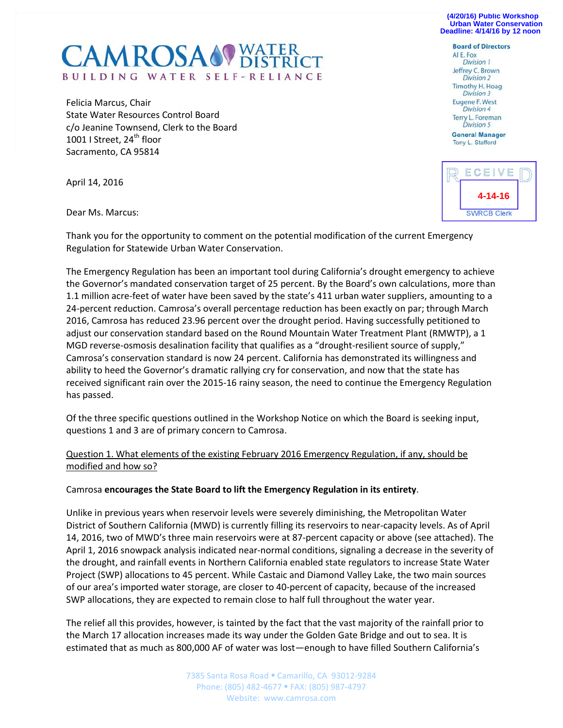**(4/20/16) Public Workshop Urban Water Conservation Deadline: 4/14/16 by 12 noon** 

## **CAMROSA OF WATER** BUILDING WATER SELF-RELIANCE

Felicia Marcus, Chair State Water Resources Control Board c/o Jeanine Townsend, Clerk to the Board 1001 I Street, 24<sup>th</sup> floor Sacramento, CA 95814

April 14, 2016

Dear Ms. Marcus:

Thank you for the opportunity to comment on the potential modification of the current Emergency Regulation for Statewide Urban Water Conservation.

The Emergency Regulation has been an important tool during California's drought emergency to achieve the Governor's mandated conservation target of 25 percent. By the Board's own calculations, more than 1.1 million acre-feet of water have been saved by the state's 411 urban water suppliers, amounting to a 24-percent reduction. Camrosa's overall percentage reduction has been exactly on par; through March 2016, Camrosa has reduced 23.96 percent over the drought period. Having successfully petitioned to adjust our conservation standard based on the Round Mountain Water Treatment Plant (RMWTP), a 1 MGD reverse-osmosis desalination facility that qualifies as a "drought-resilient source of supply," Camrosa's conservation standard is now 24 percent. California has demonstrated its willingness and ability to heed the Governor's dramatic rallying cry for conservation, and now that the state has received significant rain over the 2015-16 rainy season, the need to continue the Emergency Regulation has passed.

Of the three specific questions outlined in the Workshop Notice on which the Board is seeking input, questions 1 and 3 are of primary concern to Camrosa.

Question 1. What elements of the existing February 2016 Emergency Regulation, if any, should be modified and how so?

## Camrosa **encourages the State Board to lift the Emergency Regulation in its entirety**.

Unlike in previous years when reservoir levels were severely diminishing, the Metropolitan Water District of Southern California (MWD) is currently filling its reservoirs to near-capacity levels. As of April 14, 2016, two of MWD's three main reservoirs were at 87-percent capacity or above (see attached). The April 1, 2016 snowpack analysis indicated near-normal conditions, signaling a decrease in the severity of the drought, and rainfall events in Northern California enabled state regulators to increase State Water Project (SWP) allocations to 45 percent. While Castaic and Diamond Valley Lake, the two main sources of our area's imported water storage, are closer to 40-percent of capacity, because of the increased SWP allocations, they are expected to remain close to half full throughout the water year.

The relief all this provides, however, is tainted by the fact that the vast majority of the rainfall prior to the March 17 allocation increases made its way under the Golden Gate Bridge and out to sea. It is estimated that as much as 800,000 AF of water was lost—enough to have filled Southern California's

> 7385 Santa Rosa Road · Camarillo, CA 93012-9284 Phone: (805) 482-4677 FAX: (805) 987-4797 Website: www.camrosa.com

## **Board of Directors** ALE. Fox Division 1 Jeffrey C. Brown Division 2 Timothy H. Hoag Division 3 Eugene F. West **Division 4** Terry L. Foreman Division 5

**General Manager** Tony L. Stafford

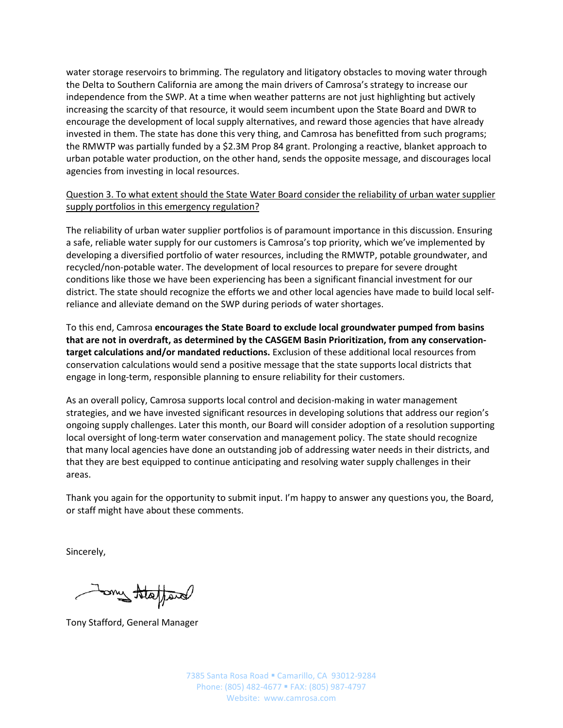water storage reservoirs to brimming. The regulatory and litigatory obstacles to moving water through the Delta to Southern California are among the main drivers of Camrosa's strategy to increase our independence from the SWP. At a time when weather patterns are not just highlighting but actively increasing the scarcity of that resource, it would seem incumbent upon the State Board and DWR to encourage the development of local supply alternatives, and reward those agencies that have already invested in them. The state has done this very thing, and Camrosa has benefitted from such programs; the RMWTP was partially funded by a \$2.3M Prop 84 grant. Prolonging a reactive, blanket approach to urban potable water production, on the other hand, sends the opposite message, and discourages local agencies from investing in local resources.

Question 3. To what extent should the State Water Board consider the reliability of urban water supplier supply portfolios in this emergency regulation?

The reliability of urban water supplier portfolios is of paramount importance in this discussion. Ensuring a safe, reliable water supply for our customers is Camrosa's top priority, which we've implemented by developing a diversified portfolio of water resources, including the RMWTP, potable groundwater, and recycled/non-potable water. The development of local resources to prepare for severe drought conditions like those we have been experiencing has been a significant financial investment for our district. The state should recognize the efforts we and other local agencies have made to build local selfreliance and alleviate demand on the SWP during periods of water shortages.

To this end, Camrosa **encourages the State Board to exclude local groundwater pumped from basins that are not in overdraft, as determined by the CASGEM Basin Prioritization, from any conservationtarget calculations and/or mandated reductions.** Exclusion of these additional local resources from conservation calculations would send a positive message that the state supports local districts that engage in long-term, responsible planning to ensure reliability for their customers.

As an overall policy, Camrosa supports local control and decision-making in water management strategies, and we have invested significant resources in developing solutions that address our region's ongoing supply challenges. Later this month, our Board will consider adoption of a resolution supporting local oversight of long-term water conservation and management policy. The state should recognize that many local agencies have done an outstanding job of addressing water needs in their districts, and that they are best equipped to continue anticipating and resolving water supply challenges in their areas.

Thank you again for the opportunity to submit input. I'm happy to answer any questions you, the Board, or staff might have about these comments.

Sincerely,

band tatapard

Tony Stafford, General Manager